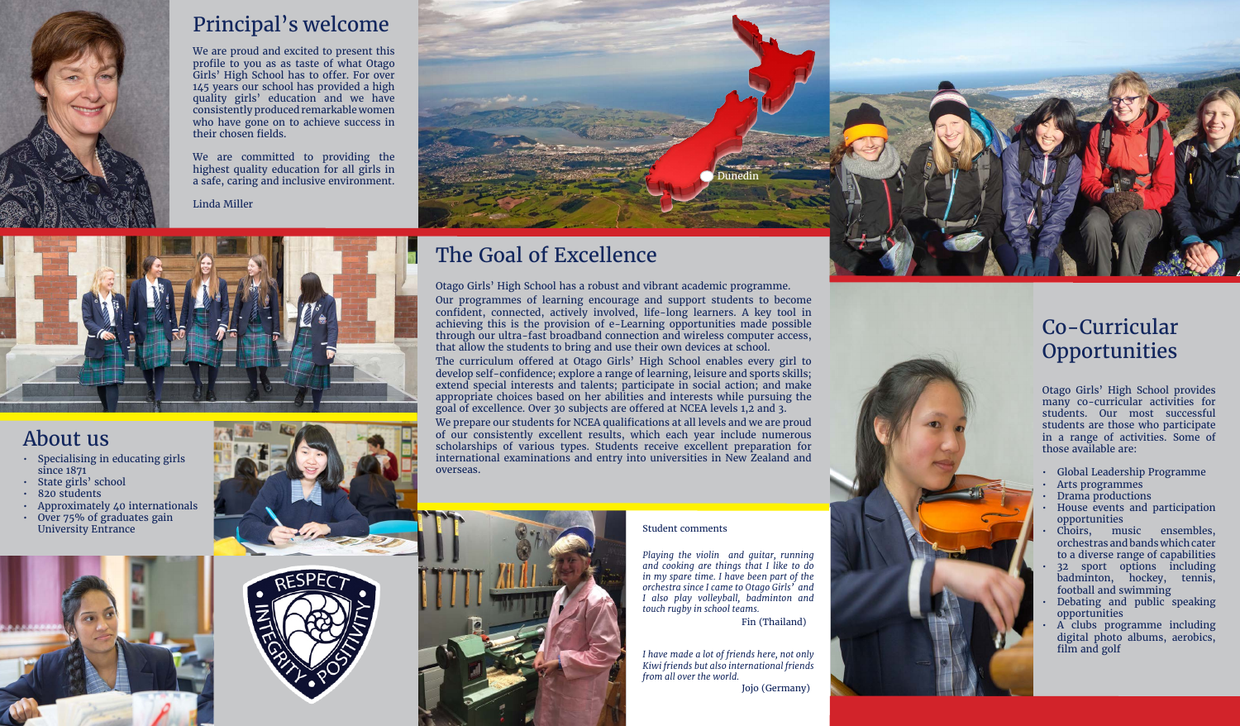Otago Girls' High School has a robust and vibrant academic programme. Our programmes of learning encourage and support students to become confident, connected, actively involved, life-long learners. A key tool in achieving this is the provision of e-Learning opportunities made possible through our ultra-fast broadband connection and wireless computer access, that allow the students to bring and use their own devices at school. The curriculum offered at Otago Girls' High School enables every girl to develop self-confidence; explore a range of learning, leisure and sports skills; extend special interests and talents; participate in social action; and make appropriate choices based on her abilities and interests while pursuing the goal of excellence. Over 30 subjects are offered at NCEA levels 1,2 and 3. We prepare our students for NCEA qualifications at all levels and we are proud of our consistently excellent results, which each year include numerous scholarships of various types. Students receive excellent preparation for international examinations and entry into universities in New Zealand and overseas.

#### Co-Curricular **Opportunities**

### About us

- Specialising in educating girls since 1871
- State girls' school
- 820 students
- Approximately 40 internationals
- Over 75% of graduates gain











*Playing the violin and guitar, running and cooking are things that I like to do in my spare time. I have been part of the orchestra since I came to Otago Girls' and I also play volleyball, badminton and touch rugby in school teams.*

*I have made a lot of friends here, not only Kiwi friends but also international friends from all over the world.*

Fin (Thailand)

Jojo (Germany)





#### Principal's welcome

We are proud and excited to present this profile to you as as taste of what Otago Girls' High School has to offer. For over 145 years our school has provided a high quality girls' education and we have consistently produced remarkable women who have gone on to achieve success in their chosen fields.

We are committed to providing the highest quality education for all girls in a safe, caring and inclusive environment.

Linda Miller



Otago Girls' High School provides many co-curricular activities for students. Our most successful students are those who participate in a range of activities. Some of those available are:

- Global Leadership Programme
- Arts programmes
- Drama productions
- House events and participation opportunities
- Choirs, music ensembles, orchestras and bands which cater to a diverse range of capabilities
- 32 sport options including badminton, hockey, tennis, football and swimming
- Debating and public speaking opportunities
- A clubs programme including digital photo albums, aerobics, film and golf